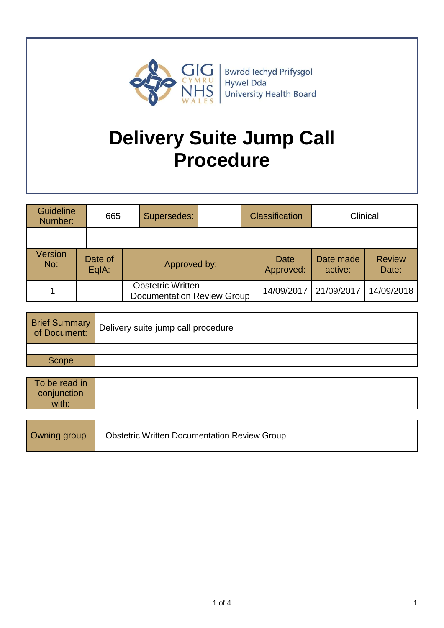

Bwrdd Iechyd Prifysgol Hywel Dda **University Health Board** 

# **Delivery Suite Jump Call Procedure**

| <b>Guideline</b><br>Number: | 665              | Supersedes:                                                   | <b>Classification</b>    |                      | Clinical               |
|-----------------------------|------------------|---------------------------------------------------------------|--------------------------|----------------------|------------------------|
|                             |                  |                                                               |                          |                      |                        |
| <b>Version</b><br>No:       | Date of<br>EqIA: | Approved by:                                                  | <b>Date</b><br>Approved: | Date made<br>active: | <b>Review</b><br>Date: |
|                             |                  | <b>Obstetric Written</b><br><b>Documentation Review Group</b> | 14/09/2017               | 21/09/2017           | 14/09/2018             |

| Brief Summary<br>of Document: | Delivery suite jump call procedure |
|-------------------------------|------------------------------------|
|                               |                                    |
| Scope                         |                                    |

| To be read in<br>conjunction<br>with: |                                                     |
|---------------------------------------|-----------------------------------------------------|
|                                       |                                                     |
| Owning group                          | <b>Obstetric Written Documentation Review Group</b> |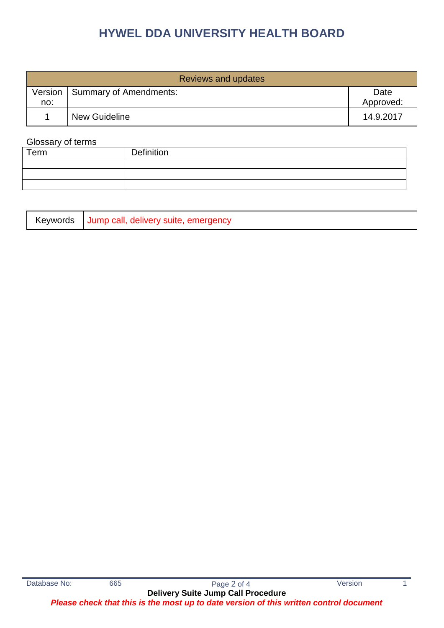## **HYWEL DDA UNIVERSITY HEALTH BOARD**

| Reviews and updates |                        |                   |  |
|---------------------|------------------------|-------------------|--|
| Version<br>no:      | Summary of Amendments: | Date<br>Approved: |  |
|                     | <b>New Guideline</b>   | 14.9.2017         |  |

#### Glossary of terms

| Term | Definition |
|------|------------|
|      |            |
|      |            |
|      |            |

| Jump call, delivery suite, emergency<br>Keywords |
|--------------------------------------------------|
|--------------------------------------------------|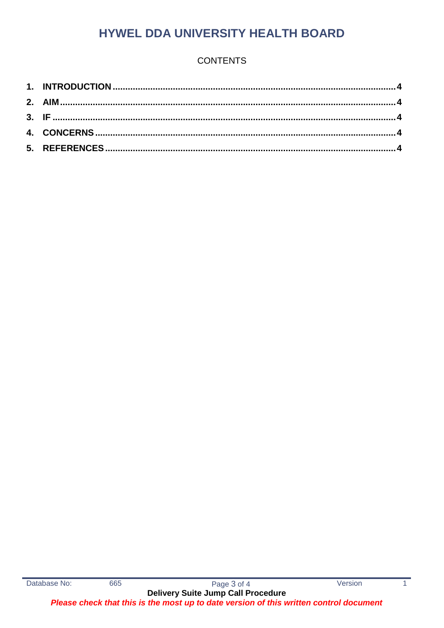## **HYWEL DDA UNIVERSITY HEALTH BOARD**

### **CONTENTS**